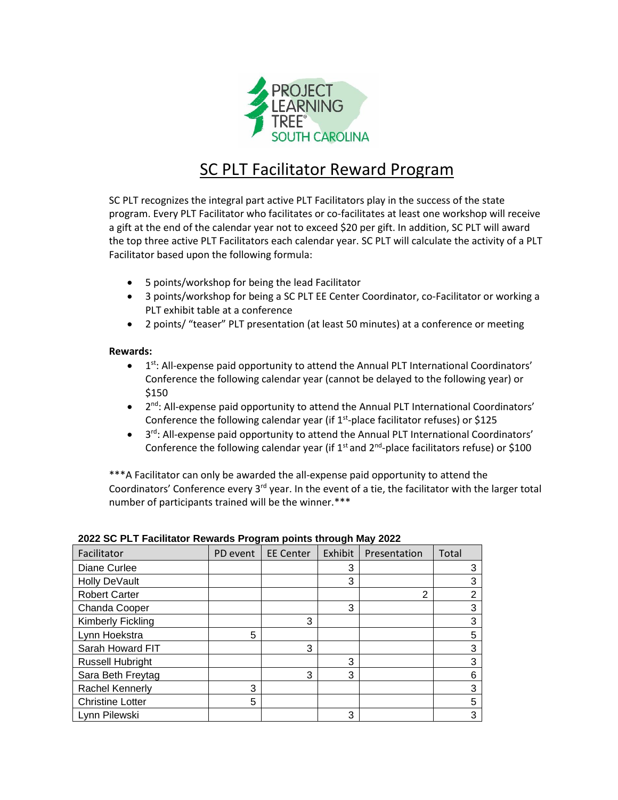

## SC PLT Facilitator Reward Program

SC PLT recognizes the integral part active PLT Facilitators play in the success of the state program. Every PLT Facilitator who facilitates or co-facilitates at least one workshop will receive a gift at the end of the calendar year not to exceed \$20 per gift. In addition, SC PLT will award the top three active PLT Facilitators each calendar year. SC PLT will calculate the activity of a PLT Facilitator based upon the following formula:

- 5 points/workshop for being the lead Facilitator
- 3 points/workshop for being a SC PLT EE Center Coordinator, co-Facilitator or working a PLT exhibit table at a conference
- 2 points/ "teaser" PLT presentation (at least 50 minutes) at a conference or meeting

## **Rewards:**

- $\bullet$  $1<sup>st</sup>$ : All-expense paid opportunity to attend the Annual PLT International Coordinators' Conference the following calendar year (cannot be delayed to the following year) or \$150
- 2<sup>nd</sup>: All-expense paid opportunity to attend the Annual PLT International Coordinators' Conference the following calendar year (if  $1<sup>st</sup>$ -place facilitator refuses) or \$125
- 3<sup>rd</sup>: All-expense paid opportunity to attend the Annual PLT International Coordinators' Conference the following calendar year (if  $1<sup>st</sup>$  and  $2<sup>nd</sup>$ -place facilitators refuse) or \$100

\*\*\*A Facilitator can only be awarded the all-expense paid opportunity to attend the Coordinators' Conference every 3<sup>rd</sup> year. In the event of a tie, the facilitator with the larger total number of participants trained will be the winner.\*\*\*

| Facilitator             | PD event | <b>EE Center</b> | Exhibit | Presentation | Total          |
|-------------------------|----------|------------------|---------|--------------|----------------|
| Diane Curlee            |          |                  | 3       |              | 3              |
| Holly DeVault           |          |                  | 3       |              | 3              |
| <b>Robert Carter</b>    |          |                  |         | 2            | $\overline{2}$ |
| Chanda Cooper           |          |                  | 3       |              | 3              |
| Kimberly Fickling       |          | 3                |         |              | 3              |
| Lynn Hoekstra           | 5        |                  |         |              | 5              |
| Sarah Howard FIT        |          | 3                |         |              | 3              |
| <b>Russell Hubright</b> |          |                  | 3       |              | 3              |
| Sara Beth Freytag       |          | 3                | 3       |              | 6              |
| <b>Rachel Kennerly</b>  | 3        |                  |         |              | 3              |
| <b>Christine Lotter</b> | 5        |                  |         |              | 5              |
| Lynn Pilewski           |          |                  | 3       |              | 3              |

|  | 2022 SC PLT Facilitator Rewards Program points through May 2022 |  |  |  |
|--|-----------------------------------------------------------------|--|--|--|
|  |                                                                 |  |  |  |
|  |                                                                 |  |  |  |